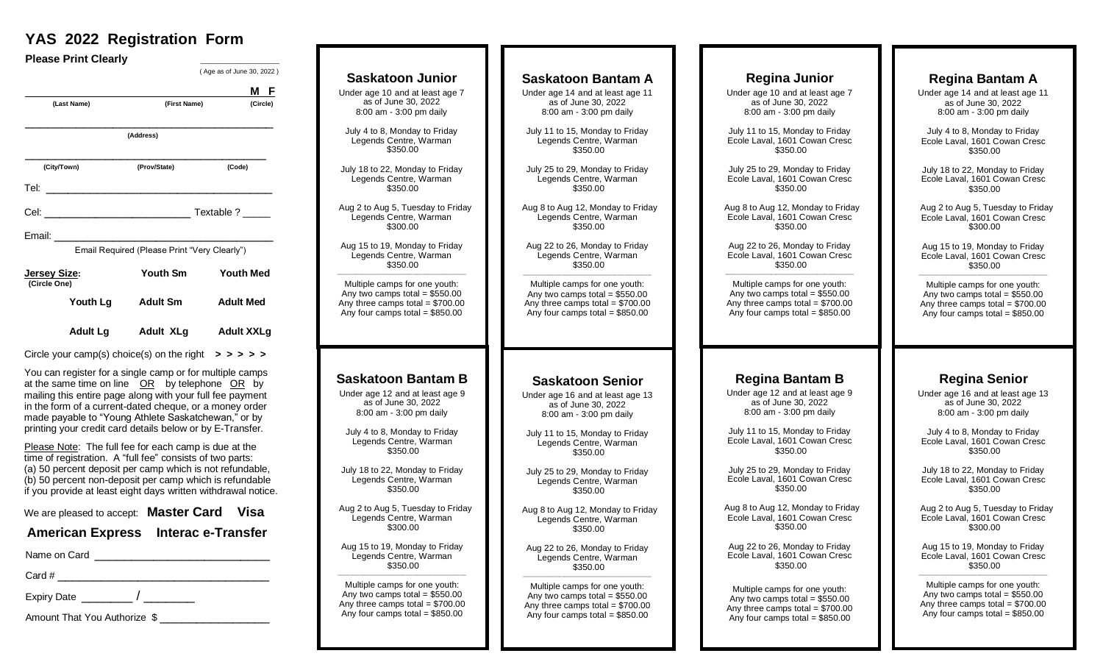## **YAS 2022 Registration Form**

**Please Print Clearly**  ( Age as of June 30, 2022 ) **M F M F (Last Name) (First Name) (Circle)** \_\_\_\_\_\_\_\_\_\_\_\_\_\_\_\_\_\_\_\_\_\_\_\_\_\_\_\_\_\_\_\_\_\_  **(Address)**  \_\_\_\_\_\_\_\_\_\_\_\_\_\_\_\_\_\_\_\_\_\_\_\_\_\_\_\_\_\_\_\_\_ **(City/Town) (Prov/State) (Code)** Tel: \_\_\_\_\_\_\_\_\_\_\_\_\_\_\_\_\_\_\_\_\_\_\_\_\_\_\_\_\_\_\_ Cel: \_\_\_\_\_\_\_\_\_\_\_\_\_\_\_\_\_\_\_\_ Textable ? \_\_\_\_\_ Email: \_\_\_\_\_\_\_\_\_\_\_\_\_\_\_\_\_\_\_\_\_\_\_\_\_\_\_\_\_\_ Email Required (Please Print "Very Clearly")  **Jersey Size: Youth Sm Youth Med (Circle One) Youth Lg Adult Sm Adult Med Adult Lg Adult XLg Adult XXLg**  Circle your camp(s) choice(s) on the right  $\Rightarrow \Rightarrow \Rightarrow \Rightarrow$  You can register for a single camp or for multiple camps at the same time on line OR by telephone OR by mailing this entire page along with your full fee payment in the form of a current-dated cheque, or a money order made payable to "Young Athlete Saskatchewan," or by printing your credit card details below or by E-Transfer. Please Note: The full fee for each camp is due at the time of registration. A "full fee" consists of two parts: (a) 50 percent deposit per camp which is not refundable, (b) 50 percent non-deposit per camp which is refundable if you provide at least eight days written withdrawal notice. We are pleased to accept: **Master Card Visa American Express Interac e-Transfer** Name on Card \_\_\_\_\_\_\_\_\_\_\_\_\_\_\_\_\_\_\_\_\_\_\_\_  $Card \#$ Expiry Date \_\_\_\_\_\_\_\_\_\_\_ / Amount That You Authorize  $\frac{1}{2}$ 

| <b>Saskatoon Junior</b>           | <b>Saskatoon Bantam A</b>         |
|-----------------------------------|-----------------------------------|
| Under age 10 and at least age 7   | Under age 14 and at least age 11  |
| as of June 30, 2022               | as of June 30, 2022               |
| 8:00 am - 3:00 pm daily           | 8:00 am - 3:00 pm daily           |
| July 4 to 8, Monday to Friday     | July 11 to 15, Monday to Friday   |
| Legends Centre, Warman            | Legends Centre, Warman            |
| \$350.00                          | \$350.00                          |
| July 18 to 22, Monday to Friday   | July 25 to 29, Monday to Friday   |
| Legends Centre, Warman            | Legends Centre, Warman            |
| \$350.00                          | \$350.00                          |
| Aug 2 to Aug 5, Tuesday to Friday | Aug 8 to Aug 12, Monday to Friday |
| Legends Centre, Warman            | Legends Centre, Warman            |
| \$300.00                          | \$350.00                          |
| Aug 15 to 19, Monday to Friday    | Aug 22 to 26, Monday to Friday    |
| Legends Centre, Warman            | Legends Centre, Warman            |
| \$350.00                          | \$350.00                          |
| Multiple camps for one youth:     | Multiple camps for one youth:     |
| Any two camps total = $$550.00$   | Any two camps total = $$550.00$   |
| Any three camps total = $$700.00$ | Any three camps total = $$700.00$ |
| Any four camps total = $$850.00$  | Any four camps total = $$850.00$  |
| <b>Saskatoon Bantam B</b>         |                                   |
|                                   | <b>Saskatoon Senior</b>           |
| Under age 12 and at least age 9   | Under age 16 and at least age 13  |
| as of June 30, 2022               | as of June 30, 2022               |
| 8:00 am - 3:00 pm daily           | 8:00 am - 3:00 pm daily           |
| July 4 to 8, Monday to Friday     | July 11 to 15, Monday to Friday   |
| Legends Centre, Warman            | Legends Centre, Warman            |
| \$350.00                          | \$350.00                          |
| July 18 to 22, Monday to Friday   | July 25 to 29, Monday to Friday   |
| Legends Centre, Warman            | Legends Centre, Warman            |
| \$350.00                          | \$350.00                          |
| Aug 2 to Aug 5, Tuesday to Friday | Aug 8 to Aug 12, Monday to Friday |
| Legends Centre, Warman            | Legends Centre, Warman            |
| \$300.00                          | \$350.00                          |
| Aug 15 to 19, Monday to Friday    | Aug 22 to 26, Monday to Friday    |
| Legends Centre, Warman            | Legends Centre, Warman            |
| \$350.00                          | \$350.00                          |
| Multiple camps for one youth:     | Multiple camps for one youth:     |
| Any two camps total = $$550.00$   | Any two camps total = $$550.00$   |
| Any three camps total = $$700.00$ | Any three camps total = $$700.00$ |
| Any four camps total = $$850.00$  | Any four camps total = $$850.00$  |

#### **Regina Bantam A** Under age 14 and at least age 11 as of June 30, 2022 8:00 am - 3:00 pm daily July 4 to 8, Monday to Friday Ecole Laval, 1601 Cowan Cresc \$350.00 July 18 to 22, Monday to Friday Ecole Laval, 1601 Cowan Cresc \$350.00 Aug 2 to Aug 5, Tuesday to Friday Ecole Laval, 1601 Cowan Cresc \$300.00 Aug 15 to 19, Monday to Friday Ecole Laval, 1601 Cowan Cresc \$350.00 \_\_\_\_\_\_\_\_\_\_\_\_\_\_\_\_\_\_\_\_\_\_\_\_\_\_\_\_\_\_\_\_\_\_\_\_\_\_\_\_\_\_\_\_\_\_\_\_\_\_\_\_\_ Multiple camps for one youth: Any two camps total =  $$550.00$ Any three camps total  $= $700.00$ Any four camps total  $= $850.00$ day to Friday day to Friday **Regina Senior** Under age 16 and at least age 13 as of June 30, 2022 8:00 am - 3:00 pm daily July 4 to 8, Monday to Friday Ecole Laval, 1601 Cowan Cresc  $$350.00$ July 18 to 22, Monday to Friday Ecole Laval, 1601 Cowan Cresc \$350.00 Aug 2 to Aug 5, Tuesday to Friday Ecole Laval, 1601 Cowan Cresc  $$300.00$ Aug 15 to 19, Monday to Friday Ecole Laval, 1601 Cowan Cresc \$350.00 \_\_\_\_\_\_\_\_\_\_\_\_\_\_\_\_\_\_\_\_\_\_\_\_\_\_\_\_\_\_\_\_\_\_\_\_\_\_\_\_\_\_\_\_\_\_\_\_\_\_\_\_\_ Multiple camps for one youth: Any two camps total  $= $550.00$ Any three camps total  $= $700.00$ Any four camps total =  $$850.00$ **Regina Bantam B** Under age 12 and at least age 9 as of June 30, 2022 8:00 am - 3:00 pm daily July 11 to 15, Monday to Friday Ecole Laval, 1601 Cowan Cresc \$350.00 July 25 to 29, Monday to Friday Ecole Laval, 1601 Cowan Cresc \$350.00 Aug 8 to Aug 12, Monday to Friday Ecole Laval, 1601 Cowan Cresc \$350.00 Aug 22 to 26, Monday to Friday Ecole Laval, 1601 Cowan Cresc \$350.00 Multiple camps for one youth: Any two camps total =  $$550.00$ Any three camps total  $= $700.00$ Any four camps total  $= $850.00$ **Regina Junior** Under age 10 and at least age 7 as of June 30, 2022 8:00 am - 3:00 pm daily July 11 to 15, Monday to Friday Ecole Laval, 1601 Cowan Cresc \$350.00 July 25 to 29, Monday to Friday Ecole Laval, 1601 Cowan Cresc \$350.00 Aug 8 to Aug 12, Monday to Friday Ecole Laval, 1601 Cowan Cresc \$350.00 Aug 22 to 26, Monday to Friday Ecole Laval, 1601 Cowan Cresc \$350.00 \_\_\_\_\_\_\_\_\_\_\_\_\_\_\_\_\_\_\_\_\_\_\_\_\_\_\_\_\_\_\_\_\_\_\_\_\_\_\_\_\_\_\_\_\_\_\_\_\_\_\_\_\_ Multiple camps for one youth: Any two camps total  $= $550.00$ Any three camps total  $= $700.00$ Any four camps total  $= $850.00$